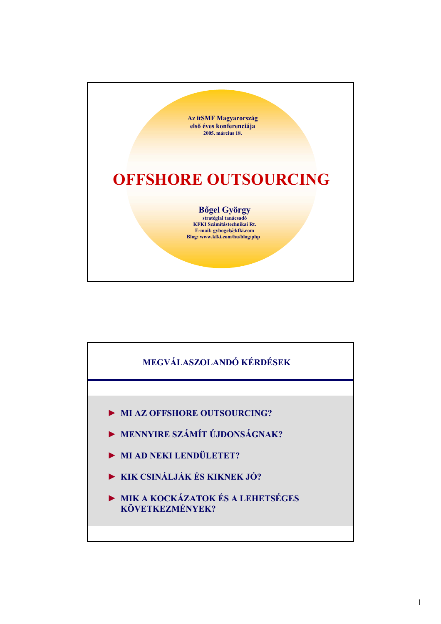

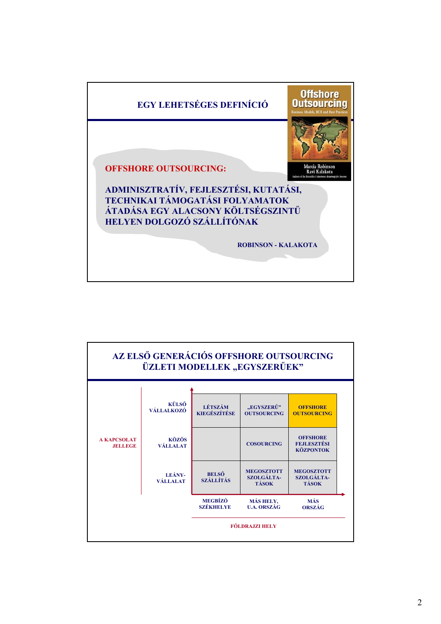

|                            | ÜZLETI MODELLEK "EGYSZERŰEK"          |                                                        |                                                           |
|----------------------------|---------------------------------------|--------------------------------------------------------|-----------------------------------------------------------|
| KÜLSŐ<br><b>VÁLLALKOZÓ</b> | <b>LÉTSZÁM</b><br><b>KIEGÉSZÍTÉSE</b> | "EGYSZERŰ"<br><b>OUTSOURCING</b>                       | <b>OFFSHORE</b><br><b>OUTSOURCING</b>                     |
| <b>KÖZÖS</b><br>VÁLLALAT   |                                       | <b>COSOURCING</b>                                      | <b>OFFSHORE</b><br><b>FEJLESZTÉSI</b><br><b>KÖZPONTOK</b> |
| LEÁNY-<br>VÁLLALAT         | <b>BELSŐ</b><br><b>SZÁLLÍTÁS</b>      | <b>MEGOSZTOTT</b><br><b>SZOLGÁLTA-</b><br><b>TÁSOK</b> | <b>MEGOSZTOTT</b><br><b>SZOLGÁLTA-</b><br><b>TÁSOK</b>    |
|                            | <b>MEGBÍZÓ</b><br><b>SZÉKHELYE</b>    | <b>MÁS HELY,</b><br><b>U.A. ORSZÁG</b>                 | <b>MÁS</b><br><b>ORSZÁG</b>                               |
|                            |                                       |                                                        |                                                           |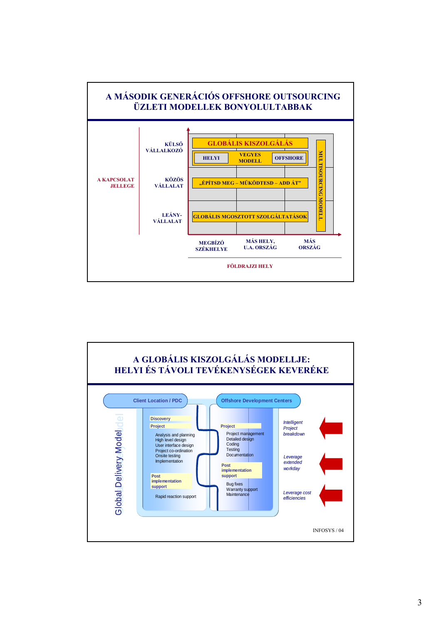

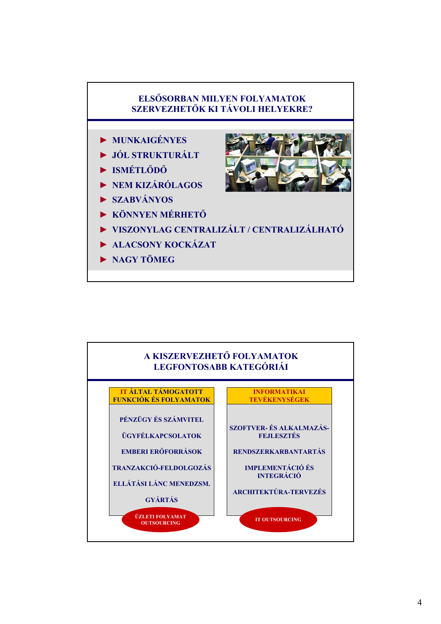## **ELSŐSORBAN MILYEN FOLYAMATOK SZERVEZHETŐK KI TÁVOLI HELYEKRE?**

- ► **MUNKAIGÉNYES**
- ► **JÓL STRUKTURÁLT**
- ► **ISMÉTLŐDŐ**
- ► **NEM KIZÁRÓLAGOS**
- ► **SZABVÁNYOS**
- ► **KÖNNYEN MÉRHETŐ**
- ► **VISZONYLAG CENTRALIZÁLT / CENTRALIZÁLHATÓ**
- ► **ALACSONY KOCKÁZAT**
- ► **NAGY TÖMEG**

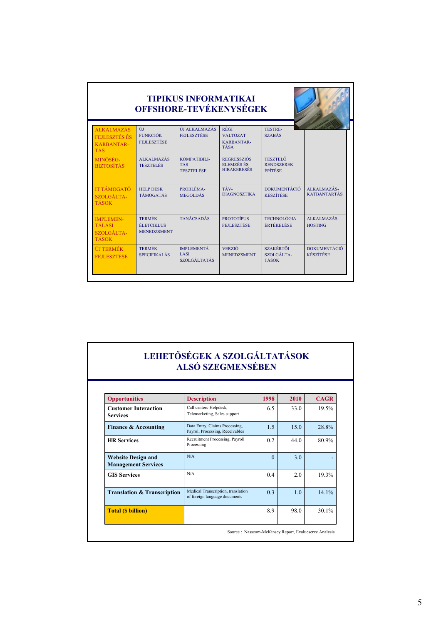|                                                                       |                                                   | <b>TIPIKUS INFORMATIKAI</b><br><b>OFFSHORE-TEVÉKENYSÉGEK</b> |                                                        |                                                 |                                         |
|-----------------------------------------------------------------------|---------------------------------------------------|--------------------------------------------------------------|--------------------------------------------------------|-------------------------------------------------|-----------------------------------------|
| <b>ALKALMAZÁS</b><br><b>FEILESZTÉS ÉS</b><br><b>KARBANTAR-</b><br>TÁS | ÚJ<br><b>FUNKCIÓK</b><br><b>FEJLESZTÉSE</b>       | ÚJ ALKALMAZÁS<br><b>FEJLESZTÉSE</b>                          | RÉGI<br><b>VÁLTOZAT</b><br><b>KARBANTAR-</b><br>TÁSA   | TESTRE-<br><b>SZABÁS</b>                        |                                         |
| MINŐSÉG-<br><b>BIZTOSÍTÁS</b>                                         | <b>ALKALMAZÁS</b><br><b>TESZTELÉS</b>             | KOMPATIBILI-<br><b>TÁS</b><br><b>TESZTELÉSE</b>              | <b>REGRESSZIÓS</b><br>ELEMZÉS ÉS<br><b>HIRAKERESÉS</b> | <b>TESZTELŐ</b><br><b>RENDSZEREK</b><br>ÉPÍTÉSE |                                         |
| <b>IT TÁMOGATÓ</b><br>SZOLGÁLTA-<br><b>TÁSOK</b>                      | <b>HELP DESK</b><br><b>TÁMOGATÁS</b>              | PROBLÉMA-<br><b>MEGOLDÁS</b>                                 | TÁV-<br><b>DIAGNOSZTIKA</b>                            | <b>DOKUMENTÁCIÓ</b><br><b>KÉSZÍTÉSE</b>         | ALKALMAZÁS-<br><b>KATBANTARTÁS</b>      |
| <b>IMPLEMEN-</b><br>TÁLÁSI<br>SZOLGÁLTA-<br><b>TÁSOK</b>              | <b>TERMÉK</b><br>ÉLETCIKLUS<br><b>MENEDZSMENT</b> | <b>TANÁCSADÁS</b>                                            | <b>PROTOTÍPUS</b><br><b>FEJLESZTÉSE</b>                | <b>TECHNOLÓGIA</b><br>ÉRTÉKELÉSE                | <b>ALKALMAZÁS</b><br><b>HOSTING</b>     |
| <b>ÚLTERMÉK</b><br><b>FEILESZTÉSE</b>                                 | <b>TERMÉK</b><br><b>SPECIFIKÁLÁS</b>              | <b>IMPLEMENTÁ-</b><br>LÁSI<br>SZOLGÁLTATÁS                   | VERZIÓ-<br><b>MENEDZSMENT</b>                          | <b>SZAKÉRTŐI</b><br>SZOLGÁLTA-<br><b>TÁSOK</b>  | <b>DOKUMENTÁCIÓ</b><br><b>KÉSZÍTÉSE</b> |

## **LEHETŐSÉGEK A SZOLGÁLTATÁSOK ALSÓ SZEGMENSÉBEN**

| <b>Opportunities</b>                                    | <b>Description</b>                                                  | 1998     | 2010 | <b>CAGR</b> |
|---------------------------------------------------------|---------------------------------------------------------------------|----------|------|-------------|
| <b>Customer Interaction</b><br><b>Services</b>          | Call centers-Helpdesk,<br>Telemarketing, Sales support              | 6.5      | 33.0 | 19.5%       |
| <b>Finance &amp; Accounting</b>                         | Data Entry, Claims Processing,<br>Payroll Processing, Receivables   | 1.5      | 15.0 | 28.8%       |
| <b>HR Services</b>                                      | Recruitment Processing, Payroll<br>Processing                       | 0.2      | 44.0 | 80.9%       |
| <b>Website Design and</b><br><b>Management Services</b> | N/A                                                                 | $\Omega$ | 3.0  |             |
| <b>GIS Services</b>                                     | N/A                                                                 | 0.4      | 2.0  | 19.3%       |
| <b>Translation &amp; Transcription</b>                  | Medical Transcription, translation<br>of foreign language documents | 0.3      | 1.0  | $14.1\%$    |
| <b>Total (\$ billion)</b>                               |                                                                     | 8.9      | 98.0 | $30.1\%$    |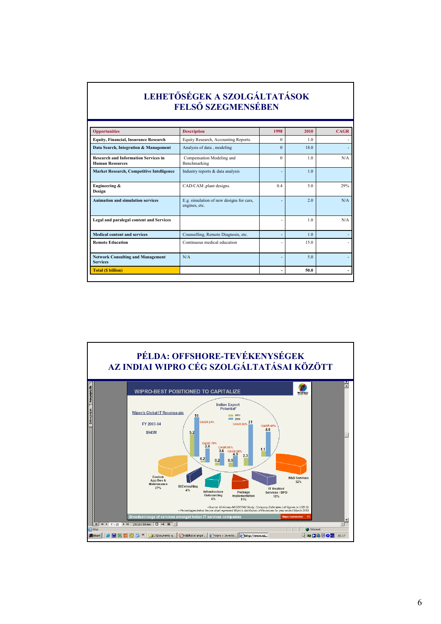|                                                                       | LEHETŐSÉGEK A SZOLGÁLTATÁSOK<br>FELSŐ SZEGMENSÉBEN        |                |                |             |
|-----------------------------------------------------------------------|-----------------------------------------------------------|----------------|----------------|-------------|
| <b>Opportunities</b>                                                  | <b>Description</b>                                        | 1998           | 2010           | <b>CAGR</b> |
| <b>Equity, Financial, Insurance Research</b>                          | Equity Research, Accounting Reports.                      | $\Omega$       | 1 <sub>0</sub> |             |
| Data Search, Integration & Management                                 | Analysis of data, modeling                                | $\Omega$       | 18.0           |             |
| <b>Research and Information Services in</b><br><b>Human Resources</b> | Compensation Modeling and<br>Benchmarking                 | $\Omega$       | 1 <sub>0</sub> | N/A         |
| Market Research, Competitive Intelligence                             | Industry reports & data analysis                          |                | 1 <sub>0</sub> |             |
| Engineering &<br>Design                                               | CAD/CAM ,plant designs.                                   | 0 <sub>4</sub> | 50             | 29%         |
| <b>Animation and simulation services</b>                              | E.g. simulation of new designs for cars,<br>engines, etc. |                | 2 <sub>0</sub> | N/A         |
| Legal and paralegal content and Services                              |                                                           |                | 1 <sub>0</sub> | N/A         |
| <b>Medical content and services</b>                                   | Counselling, Remote Diagnosis, etc.                       |                | 1.0            |             |
| <b>Remote Education</b>                                               | Continuous medical education                              |                | 150            |             |
| <b>Network Consulting and Management</b><br><b>Services</b>           | N/A                                                       |                | 50             |             |
| <b>Total (S billion)</b>                                              |                                                           |                | 50.0           |             |

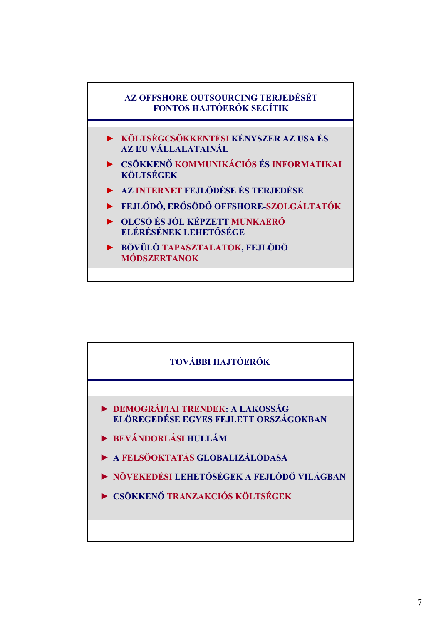

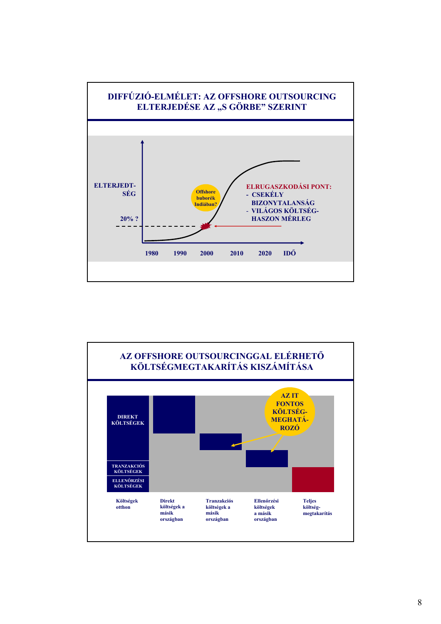

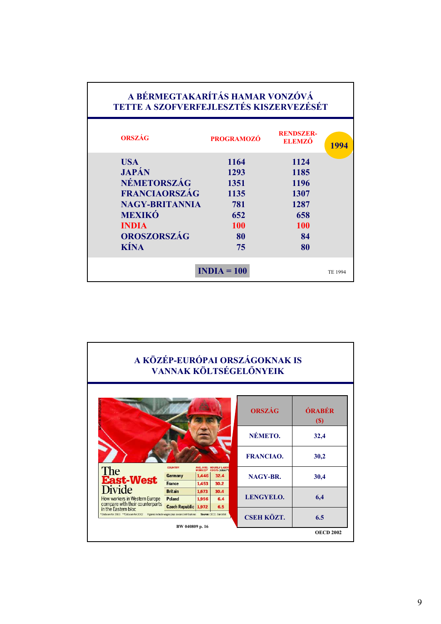| <b>TETTE A SZOFVERFEJLESZTÉS KISZERVEZÉSÉT</b> | A BÉRMEGTAKARÍTÁS HAMAR VONZÓVÁ |                                   |      |
|------------------------------------------------|---------------------------------|-----------------------------------|------|
| <b>ORSZÁG</b>                                  | <b>PROGRAMOZÓ</b>               | <b>RENDSZER-</b><br><b>ELEMZŐ</b> | 1994 |
| <b>USA</b>                                     | 1164                            | 1124                              |      |
| <b>JAPÁN</b>                                   | 1293                            | 1185                              |      |
| NÉMETORSZÁG                                    | 1351                            | 1196                              |      |
| <b>FRANCIAORSZÁG</b>                           | 1135                            | 1307                              |      |
| <b>NAGY-BRITANNIA</b>                          | 781                             | 1287                              |      |
| <b>MEXIKÓ</b>                                  | 652                             | 658                               |      |
| <b>INDIA</b>                                   | <b>100</b>                      | <b>100</b>                        |      |
| OROSZORSZÁG                                    | 80                              | 84                                |      |
| <b>KÍNA</b>                                    | 75                              | 80                                |      |

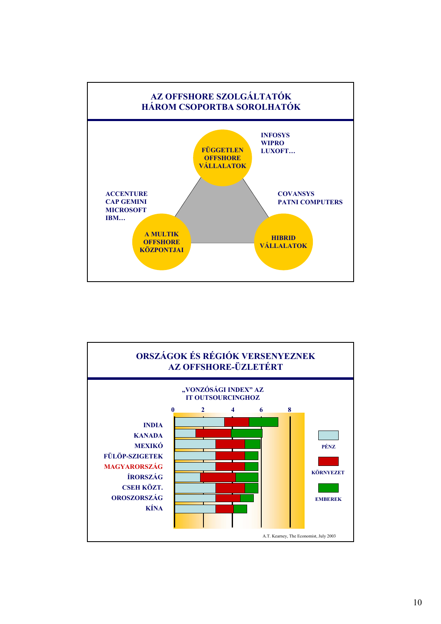

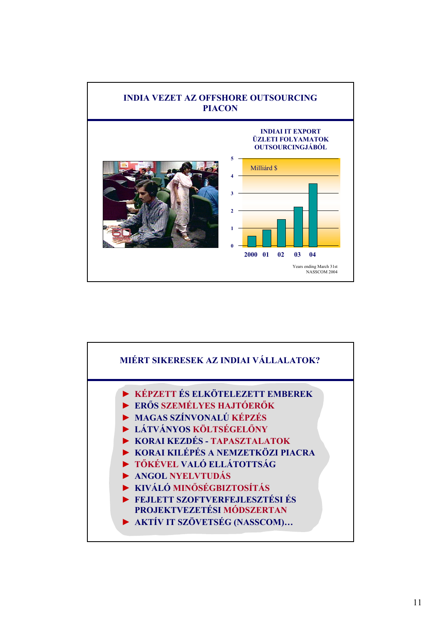

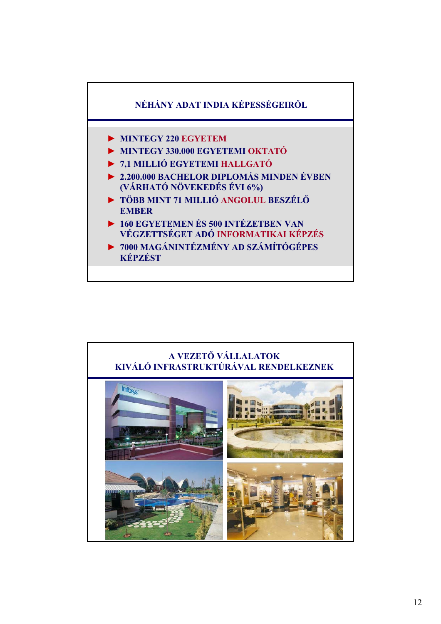

## **A VEZETŐ VÁLLALATOK KIVÁLÓ INFRASTRUKTÚRÁVAL RENDELKEZNEKInfoste**

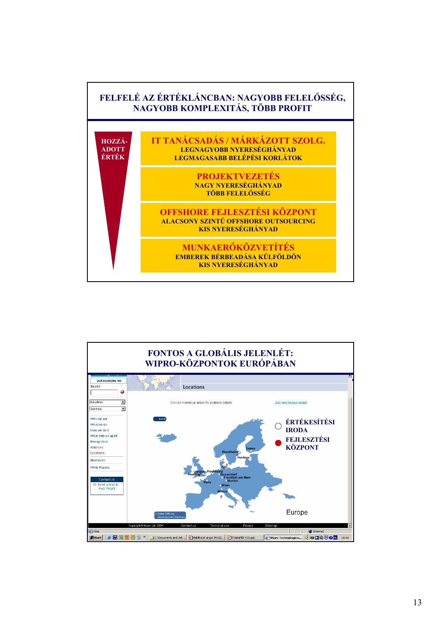

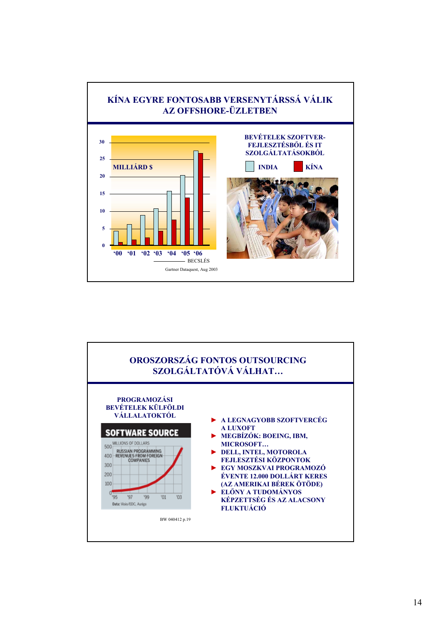

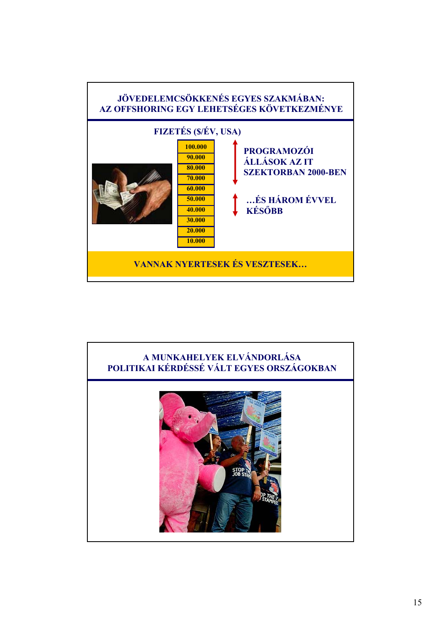

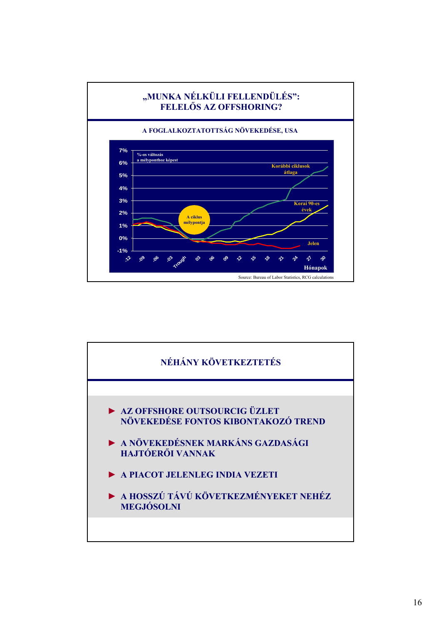